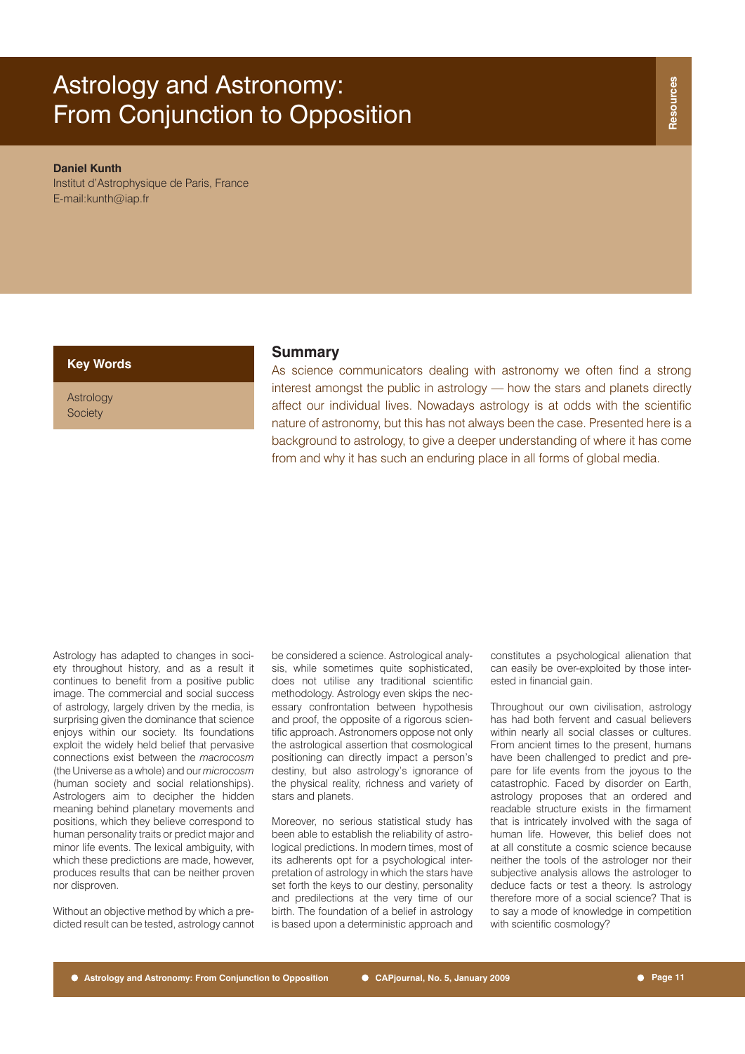# Astrology and Astronomy: From Conjunction to Opposition

#### **Daniel Kunth**

Institut d'Astrophysique de Paris, France E-mail:kunth@iap.fr

Astrology **Society** 

# **Key Words Summary**

As science communicators dealing with astronomy we often find a strong interest amongst the public in astrology — how the stars and planets directly affect our individual lives. Nowadays astrology is at odds with the scientific nature of astronomy, but this has not always been the case. Presented here is a background to astrology, to give a deeper understanding of where it has come from and why it has such an enduring place in all forms of global media.

Astrology has adapted to changes in society throughout history, and as a result it continues to benefit from a positive public image. The commercial and social success of astrology, largely driven by the media, is surprising given the dominance that science enjoys within our society. Its foundations exploit the widely held belief that pervasive connections exist between the *macrocosm* (the Universe as a whole) and our *microcosm* (human society and social relationships). Astrologers aim to decipher the hidden meaning behind planetary movements and positions, which they believe correspond to human personality traits or predict major and minor life events. The lexical ambiguity, with which these predictions are made, however, produces results that can be neither proven nor disproven.

Without an objective method by which a predicted result can be tested, astrology cannot be considered a science. Astrological analysis, while sometimes quite sophisticated, does not utilise any traditional scientific methodology. Astrology even skips the necessary confrontation between hypothesis and proof, the opposite of a rigorous scientific approach. Astronomers oppose not only the astrological assertion that cosmological positioning can directly impact a person's destiny, but also astrology's ignorance of the physical reality, richness and variety of stars and planets.

Moreover, no serious statistical study has been able to establish the reliability of astrological predictions. In modern times, most of its adherents opt for a psychological interpretation of astrology in which the stars have set forth the keys to our destiny, personality and predilections at the very time of our birth. The foundation of a belief in astrology is based upon a deterministic approach and

constitutes a psychological alienation that can easily be over-exploited by those interested in financial gain.

Throughout our own civilisation, astrology has had both fervent and casual believers within nearly all social classes or cultures. From ancient times to the present, humans have been challenged to predict and prepare for life events from the joyous to the catastrophic. Faced by disorder on Earth, astrology proposes that an ordered and readable structure exists in the firmament that is intricately involved with the saga of human life. However, this belief does not at all constitute a cosmic science because neither the tools of the astrologer nor their subjective analysis allows the astrologer to deduce facts or test a theory. Is astrology therefore more of a social science? That is to say a mode of knowledge in competition with scientific cosmology?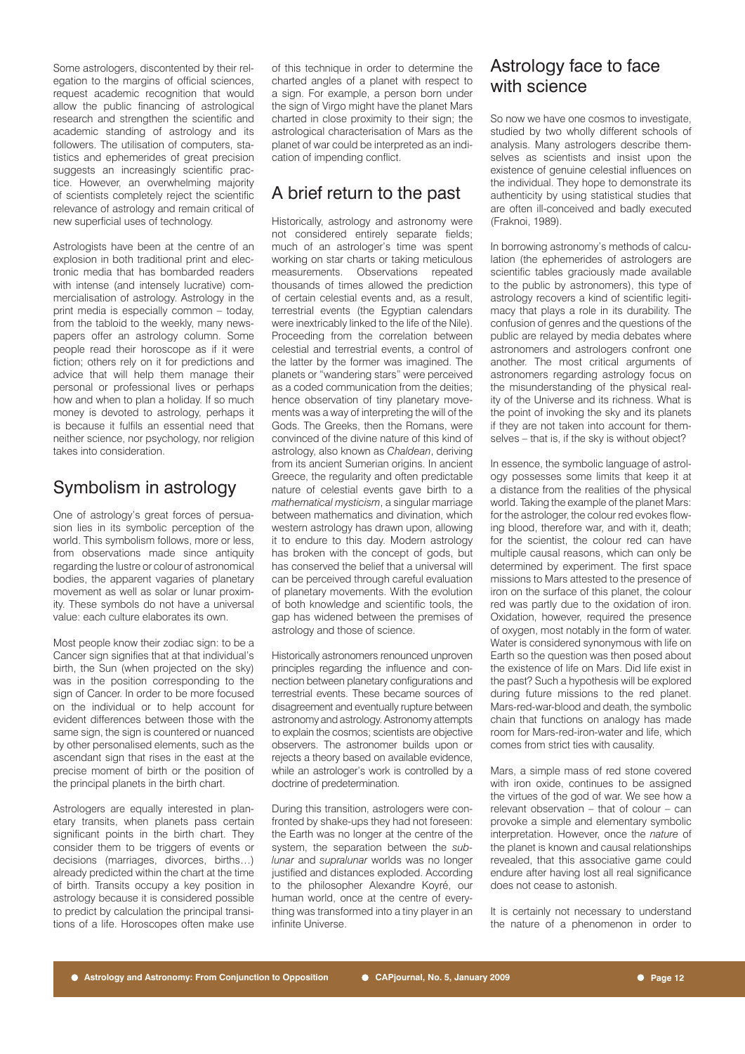Some astrologers, discontented by their relegation to the margins of official sciences, request academic recognition that would allow the public financing of astrological research and strengthen the scientific and academic standing of astrology and its followers. The utilisation of computers, statistics and ephemerides of great precision suggests an increasingly scientific practice. However, an overwhelming majority of scientists completely reject the scientific relevance of astrology and remain critical of new superficial uses of technology.

Astrologists have been at the centre of an explosion in both traditional print and electronic media that has bombarded readers with intense (and intensely lucrative) commercialisation of astrology. Astrology in the print media is especially common – today, from the tabloid to the weekly, many newspapers offer an astrology column. Some people read their horoscope as if it were fiction; others rely on it for predictions and advice that will help them manage their personal or professional lives or perhaps how and when to plan a holiday. If so much money is devoted to astrology, perhaps it is because it fulfils an essential need that neither science, nor psychology, nor religion takes into consideration.

# Symbolism in astrology

One of astrology's great forces of persuasion lies in its symbolic perception of the world. This symbolism follows, more or less, from observations made since antiquity regarding the lustre or colour of astronomical bodies, the apparent vagaries of planetary movement as well as solar or lunar proximity. These symbols do not have a universal value: each culture elaborates its own.

Most people know their zodiac sign: to be a Cancer sign signifies that at that individual's birth, the Sun (when projected on the sky) was in the position corresponding to the sign of Cancer. In order to be more focused on the individual or to help account for evident differences between those with the same sign, the sign is countered or nuanced by other personalised elements, such as the ascendant sign that rises in the east at the precise moment of birth or the position of the principal planets in the birth chart.

Astrologers are equally interested in planetary transits, when planets pass certain significant points in the birth chart. They consider them to be triggers of events or decisions (marriages, divorces, births…) already predicted within the chart at the time of birth. Transits occupy a key position in astrology because it is considered possible to predict by calculation the principal transitions of a life. Horoscopes often make use of this technique in order to determine the charted angles of a planet with respect to a sign. For example, a person born under the sign of Virgo might have the planet Mars charted in close proximity to their sign; the astrological characterisation of Mars as the planet of war could be interpreted as an indication of impending conflict.

# A brief return to the past

Historically, astrology and astronomy were not considered entirely separate fields; much of an astrologer's time was spent working on star charts or taking meticulous measurements. Observations repeated thousands of times allowed the prediction of certain celestial events and, as a result, terrestrial events (the Egyptian calendars were inextricably linked to the life of the Nile). Proceeding from the correlation between celestial and terrestrial events, a control of the latter by the former was imagined. The planets or "wandering stars" were perceived as a coded communication from the deities; hence observation of tiny planetary movements was a way of interpreting the will of the Gods. The Greeks, then the Romans, were convinced of the divine nature of this kind of astrology, also known as *Chaldean*, deriving from its ancient Sumerian origins. In ancient Greece, the regularity and often predictable nature of celestial events gave birth to a *mathematical mysticism*, a singular marriage between mathematics and divination, which western astrology has drawn upon, allowing it to endure to this day. Modern astrology has broken with the concept of gods, but has conserved the belief that a universal will can be perceived through careful evaluation of planetary movements. With the evolution of both knowledge and scientific tools, the gap has widened between the premises of astrology and those of science.

Historically astronomers renounced unproven principles regarding the influence and connection between planetary configurations and terrestrial events. These became sources of disagreement and eventually rupture between astronomy and astrology. Astronomy attempts to explain the cosmos; scientists are objective observers. The astronomer builds upon or rejects a theory based on available evidence, while an astrologer's work is controlled by a doctrine of predetermination.

During this transition, astrologers were confronted by shake-ups they had not foreseen: the Earth was no longer at the centre of the system, the separation between the *sublunar* and *supralunar* worlds was no longer justified and distances exploded. According to the philosopher Alexandre Koyré, our human world, once at the centre of everything was transformed into a tiny player in an infinite Universe.

# Astrology face to face with science

So now we have one cosmos to investigate, studied by two wholly different schools of analysis. Many astrologers describe themselves as scientists and insist upon the existence of genuine celestial influences on the individual. They hope to demonstrate its authenticity by using statistical studies that are often ill-conceived and badly executed (Fraknoi, 1989).

In borrowing astronomy's methods of calculation (the ephemerides of astrologers are scientific tables graciously made available to the public by astronomers), this type of astrology recovers a kind of scientific legitimacy that plays a role in its durability. The confusion of genres and the questions of the public are relayed by media debates where astronomers and astrologers confront one another. The most critical arguments of astronomers regarding astrology focus on the misunderstanding of the physical reality of the Universe and its richness. What is the point of invoking the sky and its planets if they are not taken into account for themselves – that is, if the sky is without object?

In essence, the symbolic language of astrology possesses some limits that keep it at a distance from the realities of the physical world. Taking the example of the planet Mars: for the astrologer, the colour red evokes flowing blood, therefore war, and with it, death; for the scientist, the colour red can have multiple causal reasons, which can only be determined by experiment. The first space missions to Mars attested to the presence of iron on the surface of this planet, the colour red was partly due to the oxidation of iron. Oxidation, however, required the presence of oxygen, most notably in the form of water. Water is considered synonymous with life on Earth so the question was then posed about the existence of life on Mars. Did life exist in the past? Such a hypothesis will be explored during future missions to the red planet. Mars-red-war-blood and death, the symbolic chain that functions on analogy has made room for Mars-red-iron-water and life, which comes from strict ties with causality.

Mars, a simple mass of red stone covered with iron oxide, continues to be assigned the virtues of the god of war. We see how a relevant observation – that of colour – can provoke a simple and elementary symbolic interpretation. However, once the *nature* of the planet is known and causal relationships revealed, that this associative game could endure after having lost all real significance does not cease to astonish.

It is certainly not necessary to understand the nature of a phenomenon in order to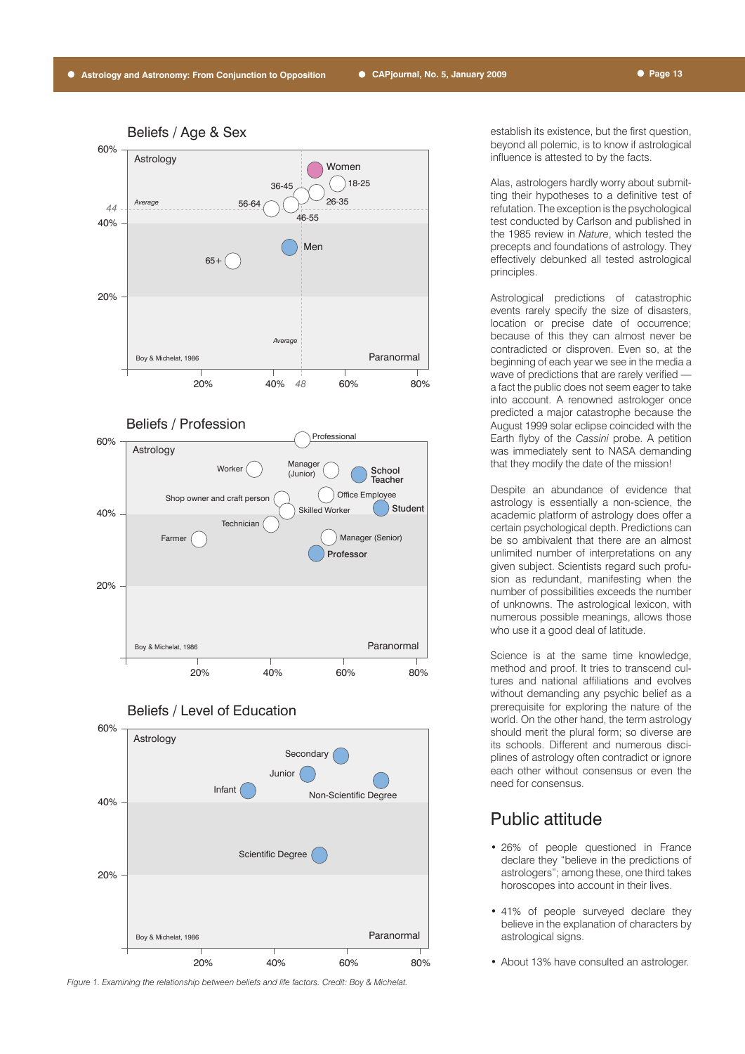





#### Beliefs / Level of Education



*Figure 1. Examining the relationship between beliefs and life factors. Credit: Boy & Michelat.*

establish its existence, but the first question, beyond all polemic, is to know if astrological influence is attested to by the facts.

Alas, astrologers hardly worry about submitting their hypotheses to a definitive test of refutation. The exception is the psychological test conducted by Carlson and published in the 1985 review in *Nature*, which tested the precepts and foundations of astrology. They effectively debunked all tested astrological principles.

Astrological predictions of catastrophic events rarely specify the size of disasters, location or precise date of occurrence; because of this they can almost never be contradicted or disproven. Even so, at the beginning of each year we see in the media a wave of predictions that are rarely verified a fact the public does not seem eager to take into account. A renowned astrologer once predicted a major catastrophe because the August 1999 solar eclipse coincided with the Earth flyby of the *Cassini* probe. A petition was immediately sent to NASA demanding that they modify the date of the mission!

Despite an abundance of evidence that astrology is essentially a non-science, the academic platform of astrology does offer a certain psychological depth. Predictions can be so ambivalent that there are an almost unlimited number of interpretations on any given subject. Scientists regard such profusion as redundant, manifesting when the number of possibilities exceeds the number of unknowns. The astrological lexicon, with numerous possible meanings, allows those who use it a good deal of latitude.

Science is at the same time knowledge, method and proof. It tries to transcend cultures and national affiliations and evolves without demanding any psychic belief as a prerequisite for exploring the nature of the world. On the other hand, the term astrology should merit the plural form; so diverse are its schools. Different and numerous disciplines of astrology often contradict or ignore each other without consensus or even the need for consensus.

# Public attitude

- 26% of people questioned in France declare they "believe in the predictions of astrologers"; among these, one third takes horoscopes into account in their lives.
- 41% of people surveyed declare they believe in the explanation of characters by astrological signs.
- About 13% have consulted an astrologer.